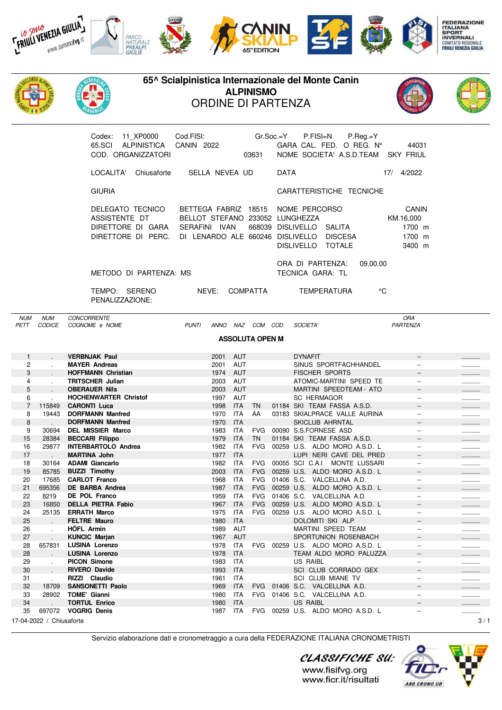



| COD. ORGANIZZATORI                                                           |             |                                                                                                                                      | 03631 | NOME SOCIETA' A.S.D.TEAM               |                                            |          |     | SKY FRIUL                                        |
|------------------------------------------------------------------------------|-------------|--------------------------------------------------------------------------------------------------------------------------------------|-------|----------------------------------------|--------------------------------------------|----------|-----|--------------------------------------------------|
| LOCALITA'                                                                    | Chiusaforte | SELLA NEVEA UD                                                                                                                       |       | <b>DATA</b>                            |                                            |          | 17/ | 4/2022                                           |
| <b>GIURIA</b>                                                                |             |                                                                                                                                      |       | CARATTERISTICHE TECNICHE               |                                            |          |     |                                                  |
| DELEGATO TECNICO<br>ASSISTENTE DT<br>DIRETTORE DI GARA<br>DIRETTORE DI PERC. |             | BETTEGA FABRIZ 18515 NOME PERCORSO<br>BELLOT STEFANO 233052 LUNGHEZZA<br>IVAN<br><b>SERAFINI</b><br>DI LENARDO ALE 660246 DISLIVELLO |       | 668039 DISLIVELLO<br><b>DISLIVELLO</b> | SAI ITA<br><b>DISCESA</b><br><b>TOTALE</b> |          |     | CANIN<br>KM.16,000<br>1700 m<br>1700 m<br>3400 m |
| METODO DI PARTENZA: MS                                                       |             |                                                                                                                                      |       | ORA DI PARTENZA:<br>TECNICA GARA: TL   |                                            | 09.00.00 |     |                                                  |

TEMPO: SERENO NEVE: COMPATTA TEMPERATURA °C PENALIZZAZIONE:

NUM NUM CONCORRENTE ORA PETT CODICE COGNOME e NOME **PUNTI ANNO NAZ COM COD.** SOCIETA

## **ASSOLUTA OPEN M**

| 1  |                                 | <b>VERBNJAK Paul</b>         | 2001 | AUT        |            |  | <b>DYNAFIT</b>                          | $- -$                    |  |
|----|---------------------------------|------------------------------|------|------------|------------|--|-----------------------------------------|--------------------------|--|
| 2  |                                 | <b>MAYER Andreas</b>         | 2001 | <b>AUT</b> |            |  | SINUS SPORTFACHHANDEL                   |                          |  |
| 3  |                                 | <b>HOFFMANN Christian</b>    | 1974 | <b>AUT</b> |            |  | <b>FISCHER SPORTS</b>                   |                          |  |
| 4  | $\sim$                          | <b>TRITSCHER Julian</b>      | 2003 | <b>AUT</b> |            |  | ATOMIC-MARTINI SPEED TE                 | $\overline{\phantom{a}}$ |  |
| 5  |                                 | <b>OBERAUER Nils</b>         | 2003 | <b>AUT</b> |            |  | MARTINI SPEEDTEAM - ATO                 | $\overline{\phantom{a}}$ |  |
| 6  |                                 | <b>HOCHENWARTER Christof</b> | 1997 | AUT        |            |  | <b>SC HERMAGOR</b>                      |                          |  |
| 7  | 115849                          | <b>CARONTI Luca</b>          | 1998 | <b>ITA</b> | <b>TN</b>  |  | 01184 SKI TEAM FASSA A.S.D.             | $- -$                    |  |
| 8  | 19443                           | <b>DORFMANN Manfred</b>      | 1970 | <b>ITA</b> | AA         |  | 03183 SKIALPRACE VALLE AURINA           | $- -$                    |  |
| 8  |                                 | <b>DORFMANN Manfred</b>      | 1970 | <b>ITA</b> |            |  | <b>SKICLUB AHRNTAL</b>                  | $- -$                    |  |
| 9  | 30694                           | <b>DEL MISSIER Marco</b>     | 1983 | <b>ITA</b> | <b>FVG</b> |  | 00090 S.S.FORNESE ASD                   | $-$                      |  |
| 15 | 28384                           | <b>BECCARI Filippo</b>       | 1979 | <b>ITA</b> | <b>TN</b>  |  | 01184 SKI TEAM FASSA A.S.D.             | $- -$                    |  |
| 16 | 29877                           | <b>INTERBARTOLO Andrea</b>   | 1982 | <b>ITA</b> | <b>FVG</b> |  | 00259 U.S. ALDO MORO A.S.D. L           | $\overline{\phantom{a}}$ |  |
| 17 |                                 | <b>MARTINA John</b>          | 1977 | <b>ITA</b> |            |  | LUPI NERI CAVE DEL PRED                 |                          |  |
| 18 | 30164                           | <b>ADAMI Giancarlo</b>       | 1982 | <b>ITA</b> | <b>FVG</b> |  | 00055 SCI C.A.I<br><b>MONTE LUSSARI</b> | $\overline{\phantom{a}}$ |  |
| 19 | 85785                           | <b>BUZZI Timothy</b>         | 2003 | <b>ITA</b> | <b>FVG</b> |  | 00259 U.S. ALDO MORO A.S.D. L           |                          |  |
| 20 | 17685                           | <b>CARLOT Franco</b>         | 1968 | <b>ITA</b> | <b>FVG</b> |  | 01406 S.C. VALCELLINA A.D.              | $-$                      |  |
| 21 | 695356                          | DE BARBA Andrea              | 1987 | <b>ITA</b> | <b>FVG</b> |  | 00259 U.S. ALDO MORO A.S.D. L           |                          |  |
| 22 | 8219                            | <b>DE POL Franco</b>         | 1959 | <b>ITA</b> | <b>FVG</b> |  | 01406 S.C. VALCELLINA A.D.              | $-$                      |  |
| 23 | 16850                           | <b>DELLA PIETRA Fabio</b>    | 1967 | <b>ITA</b> | <b>FVG</b> |  | 00259 U.S. ALDO MORO A.S.D. L           | $\overline{\phantom{a}}$ |  |
| 24 | 25135                           | <b>ERRATH Marco</b>          | 1975 | <b>ITA</b> | <b>FVG</b> |  | 00259 U.S. ALDO MORO A.S.D. L           | $- -$                    |  |
| 25 |                                 | <b>FELTRE Mauro</b>          | 1980 | <b>ITA</b> |            |  | DOLOMITI SKI ALP                        |                          |  |
| 26 | $\cdot$                         | <b>HÖFL Armin</b>            | 1989 | AUT        |            |  | <b>MARTINI SPEED TEAM</b>               | $- -$                    |  |
| 27 |                                 | <b>KUNCIC Marjan</b>         | 1967 | <b>AUT</b> |            |  | SPORTUNION ROSENBACH                    | $\overline{\phantom{a}}$ |  |
| 28 | 657831                          | <b>LUSINA Lorenzo</b>        | 1978 | <b>ITA</b> | <b>FVG</b> |  | 00259 U.S. ALDO MORO A.S.D. L           | $\overline{\phantom{a}}$ |  |
| 28 |                                 | <b>LUSINA Lorenzo</b>        | 1978 | <b>ITA</b> |            |  | TEAM ALDO MORO PALUZZA                  | $- -$                    |  |
| 29 |                                 | <b>PICON Simone</b>          | 1983 | <b>ITA</b> |            |  | <b>US RAIBL</b>                         | $- -$                    |  |
| 30 |                                 | <b>RIVERO Davide</b>         | 1993 | <b>ITA</b> |            |  | SCI CLUB CORRADO GEX                    | $\overline{\phantom{m}}$ |  |
| 31 |                                 | RIZZI Claudio                | 1961 | <b>ITA</b> |            |  | <b>SCI CLUB MIANE TV</b>                | $-$                      |  |
| 32 | 18709                           | <b>SANSONETTI Paolo</b>      | 1969 | <b>ITA</b> | <b>FVG</b> |  | 01406 S.C. VALCELLINA A.D.              |                          |  |
| 33 | 28902                           | <b>TOME' Gianni</b>          | 1980 | <b>ITA</b> | <b>FVG</b> |  | 01406 S.C. VALCELLINA A.D.              | $- -$                    |  |
| 34 |                                 | <b>TORTUL Enrico</b>         | 1980 | <b>ITA</b> |            |  | <b>US RAIBL</b>                         |                          |  |
| 35 | 697072                          | <b>VOGRIG Denis</b>          | 1987 | <b>ITA</b> | <b>FVG</b> |  | 00259 U.S. ALDO MORO A.S.D. L           |                          |  |
|    | 17-04-2022 / Chiusaforte<br>3/1 |                              |      |            |            |  |                                         |                          |  |

Servizio elaborazione dati e cronometraggio a cura della FEDERAZIONE ITALIANA CRONOMETRISTI



CLASSIFICHE SU: www.fisifvg.org www.ficr.it/risultati